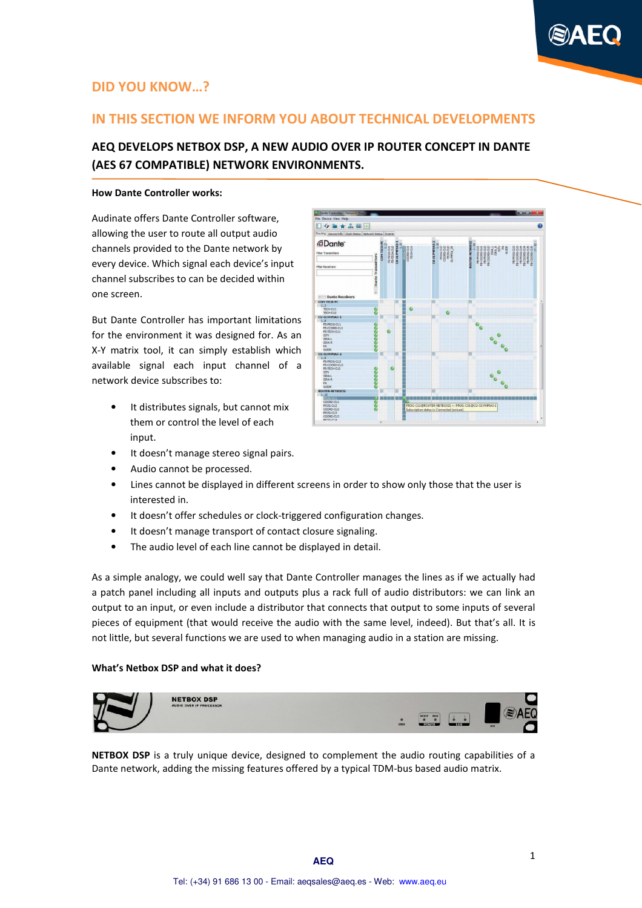

# DID YOU KNOW…?

### IN THIS SECTION WE INFORM YOU ABOUT TECHNICAL DEVELOPMENTS

## AEQ DEVELOPS NETBOX DSP, A NEW AUDIO OVER IP ROUTER CONCEPT IN DANTE (AES 67 COMPATIBLE) NETWORK ENVIRONMENTS.

 $\begin{tabular}{|c|c|c|c|c|} \hline \quad \quad & \quad \quad & \quad \quad & \quad \quad \\ \hline \quad \quad & \quad \quad & \quad \quad & \quad \quad \\ \hline \quad \quad & \quad \quad & \quad \quad & \quad \quad \\ \hline \quad \quad & \quad \quad & \quad \quad & \quad \quad \\ \hline \end{tabular}$ @Dante<sup>-</sup>

### How Dante Controller works:

Audinate offers Dante Controller software, allowing the user to route all output audio channels provided to the Dante network by every device. Which signal each device's input channel subscribes to can be decided within one screen.

But Dante Controller has important limitations for the environment it was designed for. As an X-Y matrix tool, it can simply establish which available signal each input channel of a network device subscribes to:

- It distributes signals, but cannot mix them or control the level of each input.
- It doesn't manage stereo signal pairs.
- Audio cannot be processed.
- Lines cannot be displayed in different screens in order to show only those that the user is interested in.
- It doesn't offer schedules or clock-triggered configuration changes.
- It doesn't manage transport of contact closure signaling.
- The audio level of each line cannot be displayed in detail.

As a simple analogy, we could well say that Dante Controller manages the lines as if we actually had a patch panel including all inputs and outputs plus a rack full of audio distributors: we can link an output to an input, or even include a distributor that connects that output to some inputs of several pieces of equipment (that would receive the audio with the same level, indeed). But that's all. It is not little, but several functions we are used to when managing audio in a station are missing.

### What's Netbox DSP and what it does?



NETBOX DSP is a truly unique device, designed to complement the audio routing capabilities of a Dante network, adding the missing features offered by a typical TDM-bus based audio matrix.

 **AEQ**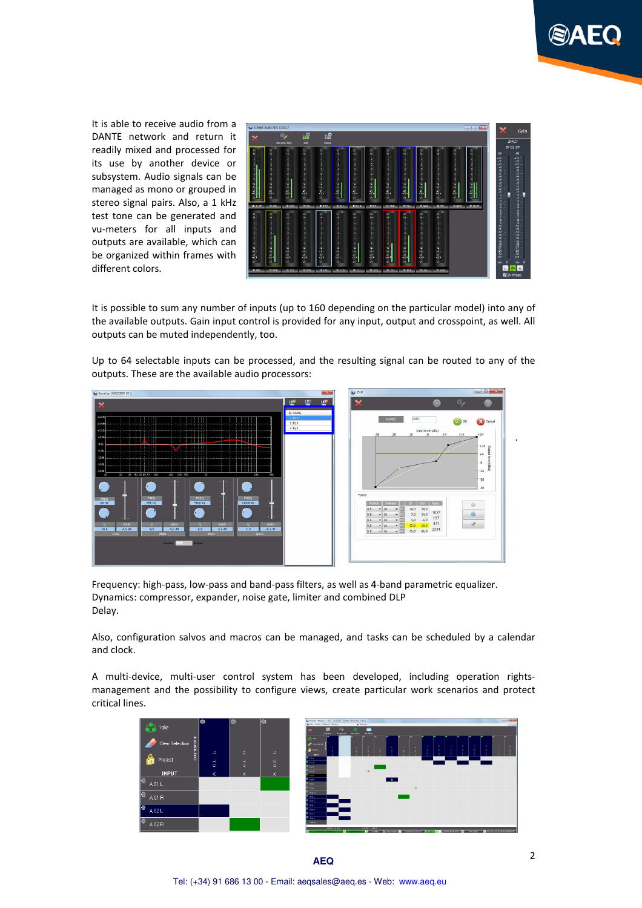

It is able to receive audio from a DANTE network and return it readily mixed and processed for its use by another device or subsystem. Audio signals can be managed as mono or grouped in stereo signal pairs. Also, a 1 kHz test tone can be generated and vu-meters for all inputs and outputs are available, which can be organized within frames with different colors.



It is possible to sum any number of inputs (up to 160 depending on the particular model) into any of the available outputs. Gain input control is provided for any input, output and crosspoint, as well. All outputs can be muted independently, too.

Up to 64 selectable inputs can be processed, and the resulting signal can be routed to any of the outputs. These are the available audio processors:



Frequency: high-pass, low-pass and band-pass filters, as well as 4-band parametric equalizer. Dynamics: compressor, expander, noise gate, limiter and combined DLP Delay.

Also, configuration salvos and macros can be managed, and tasks can be scheduled by a calendar and clock.

A multi-device, multi-user control system has been developed, including operation rightsmanagement and the possibility to configure views, create particular work scenarios and protect critical lines.

|                      | lo                      | lo                      | lo                 | <b>Controlling Controller</b><br>U DESEDE NABLO DE - REC - SEUDO S - GADARA ON CO-2019 7 DESER<br>$ z $ and $ z $<br>a Sie Corfo Schedule Medio<br><b>W</b> Ellere                                                                       |
|----------------------|-------------------------|-------------------------|--------------------|------------------------------------------------------------------------------------------------------------------------------------------------------------------------------------------------------------------------------------------|
| Take                 |                         |                         |                    | P<br>۰.<br>m<br>−<br><b>Ties Maces</b><br>New Salvas<br><b>Rangere View</b><br>Cutterion.                                                                                                                                                |
| н<br>Clear Selection |                         |                         |                    | <b>Common</b><br><b>Continued</b><br>$\mathbf{r}$<br>- 21<br>$\sim$<br>$\sim$<br>$\mathbf{r}$<br><b>A</b><br>٠<br>$\frac{1}{4}$<br>$\frac{a}{2}$<br>14<br>$\alpha$<br>- 2<br>$\mathbf{K}$<br>×<br><b>A</b> hotel<br>×<br>- 4<br><b>B</b> |
| Eao<br>a             | $\overline{a}$          | Ľ.                      | A                  | ÷,<br><b>INPUT</b>                                                                                                                                                                                                                       |
| Protect              | $\mathbf{H}$<br>$\circ$ | $\mathbf{d}$<br>$\circ$ | $_{\circ}^{\circ}$ | <b>Family</b><br>Add B<br><b>LOCK</b>                                                                                                                                                                                                    |
| <b>INPUT</b>         |                         |                         | α                  | <b>R</b><br><b>ASSA</b><br>D <sub>DSL</sub>                                                                                                                                                                                              |
| lО<br>A 01 L         |                         |                         |                    | <b>TALK</b><br>0.088<br><b>DIAL</b><br>061                                                                                                                                                                                               |
| ю<br>A 01 R          |                         |                         |                    | <b>Pass</b><br><b>Page</b><br><b>PRE</b>                                                                                                                                                                                                 |
| ю<br>A 02 L          |                         |                         |                    | <b>PRL</b><br><b>PER</b><br><b>Pass</b>                                                                                                                                                                                                  |
| ю<br>A 02 R          |                         |                         |                    | <b>Pass</b><br>TEST SC<br>INPUT: DOLL<br>OUTPUT: A01R<br>$\bullet$ 1 $\equiv$ 6000 MT ROOTC<br><b>Connect Sons IP Sens</b><br>Vesies 1,0018 2015 2019 05:12<br>A2MW<br>Administrator<br>AGP Lee.<br>9000330                              |